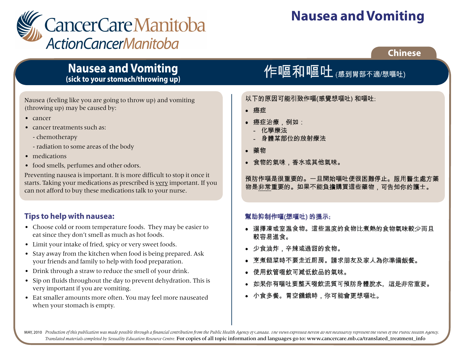

# **Nausea and Vomiting**

## **Chinese**

# **Nausea and Vomiting (sick to your stomach/throwing up)**

Nausea (feeling like you are going to throw up) and vomiting (throwing up) may be caused by:

- cancer
- cancer treatments such as:
	- chemotherapy
	- radiation to some areas of the body
- medications
- food smells, perfumes and other odors.

Preventing nausea is important. It is more difficult to stop it once it starts. Taking your medications as prescribed is very important. If you can not afford to buy these medications talk to your nurse.

## **Tips to help with nausea:**

- Choose cold or room temperature foods. They may be easier to eat since they don't smell as much as hot foods.
- Limit your intake of fried, spicy or very sweet foods.
- Stay away from the kitchen when food is being prepared. Ask your friends and family to help with food preparation.
- Drink through a straw to reduce the smell of your drink.
- Sip on fluids throughout the day to prevent dehydration. This is very important if you are vomiting.
- Eat smaller amounts more often. You may feel more nauseated when your stomach is empty.

# 作嘔和嘔吐 (感到胃部不適/想嘔吐)

以下的原因可能引致作嘔(感覺想嘔吐)和嘔吐:

癌症

- 癌症治療,例如:
	- 化學療法
	- 身體某部位的放射療法
- 藥物
- 食物的氣味,香水或其他氣味。

預防作嘔是很重要的。一旦開始嘔吐便很困難停止。服用醫生處方藥 物是非常重要的。如果不能負擔購買這些藥物,可告知你的護士。

### 幫助抑制作嘔(想嘔吐)的提示:

- 選擇凍或室温食物。這些温度的食物比煮熱的食物氣味較少而且 較容易谁食。
- 少食油炸,辛辣或過甜的食物。
- 烹煮餸菜時不要走近厨房。請求朋友及家人為你準備飯餐。
- 使用飲管啜飲可減低飲品的氣味。
- 如果你有嘔吐要整天啜飲流質可預防身體脫水。這是非常重要。
- 小食多餐。胃空饑餓時,你可能會更想嘔吐。

MAY, 2010 Production of this publication was made possible through a financial contribution from the Public Health Agency of Canada. The views expressed herein do not necessarily represent the views of the Public Health Ag *Translated materials completed by Sexuality Education Resource Centre.* For copies of all topic information and languages go to: www.cancercare.mb.ca/translated\_treatment\_info